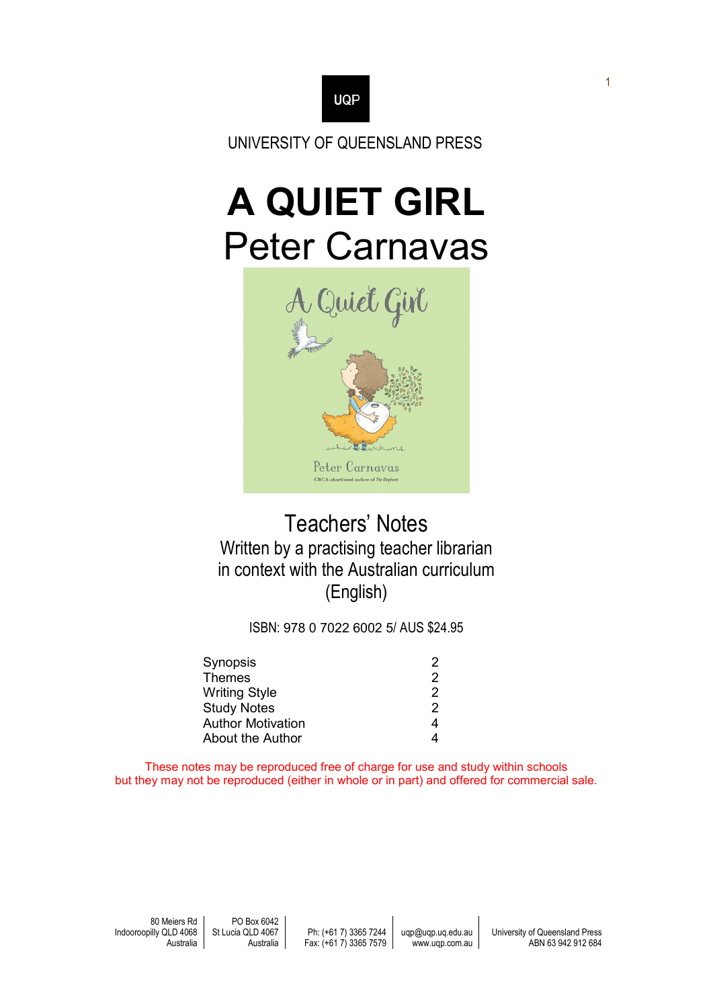

UNIVERSITY OF QUEENSLAND PRESS

# **A QUIET GIRL** Peter Carnavas



# Teachers' Notes Written by a practising teacher librarian in context with the Australian curriculum (English)

ISBN: 978 0 7022 6002 5/ AUS \$24.95

| Synopsis           | 2 |
|--------------------|---|
| Themes             | 2 |
| Writing Style      | 2 |
| <b>Study Notes</b> | 2 |
| Author Motivation  | 4 |
| About the Author   | 4 |
|                    |   |

These notes may be reproduced free of charge for use and study within schools but they may not be reproduced (either in whole or in part) and offered for commercial sale.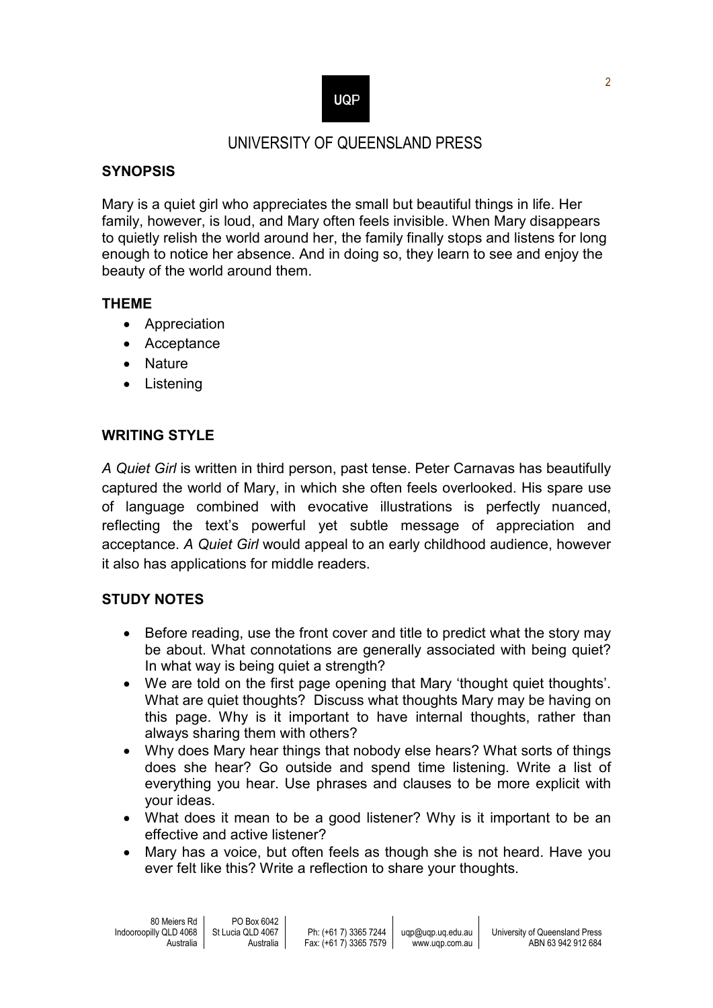# **UQP**

## UNIVERSITY OF QUEENSLAND PRESS

#### **SYNOPSIS**

Mary is a quiet girl who appreciates the small but beautiful things in life. Her family, however, is loud, and Mary often feels invisible. When Mary disappears to quietly relish the world around her, the family finally stops and listens for long enough to notice her absence. And in doing so, they learn to see and enjoy the beauty of the world around them.

#### **THEME**

- Appreciation
- Acceptance
- Nature
- Listening

### **WRITING STYLE**

*A Quiet Girl* is written in third person, past tense. Peter Carnavas has beautifully captured the world of Mary, in which she often feels overlooked. His spare use of language combined with evocative illustrations is perfectly nuanced, reflecting the text's powerful yet subtle message of appreciation and acceptance. *A Quiet Girl* would appeal to an early childhood audience, however it also has applications for middle readers.

#### **STUDY NOTES**

- Before reading, use the front cover and title to predict what the story may be about. What connotations are generally associated with being quiet? In what way is being quiet a strength?
- We are told on the first page opening that Mary 'thought quiet thoughts'. What are quiet thoughts? Discuss what thoughts Mary may be having on this page. Why is it important to have internal thoughts, rather than always sharing them with others?
- Why does Mary hear things that nobody else hears? What sorts of things does she hear? Go outside and spend time listening. Write a list of everything you hear. Use phrases and clauses to be more explicit with your ideas.
- What does it mean to be a good listener? Why is it important to be an effective and active listener?
- Mary has a voice, but often feels as though she is not heard. Have you ever felt like this? Write a reflection to share your thoughts.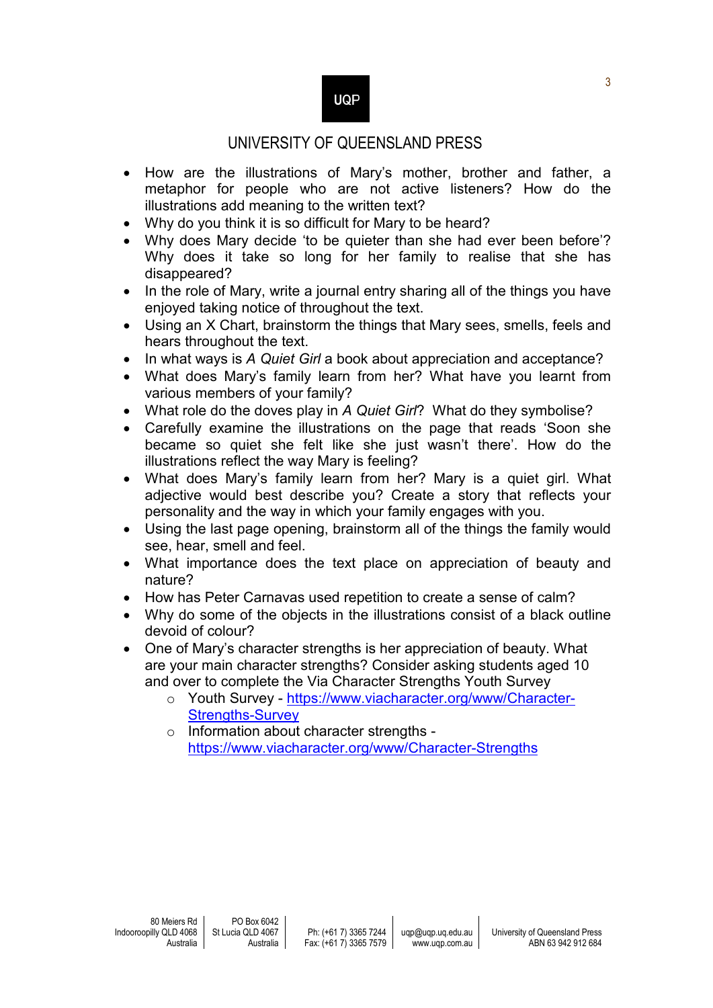## UNIVERSITY OF QUEENSLAND PRESS

- How are the illustrations of Mary's mother, brother and father, a metaphor for people who are not active listeners? How do the illustrations add meaning to the written text?
- Why do you think it is so difficult for Mary to be heard?
- Why does Mary decide 'to be quieter than she had ever been before'? Why does it take so long for her family to realise that she has disappeared?
- In the role of Mary, write a journal entry sharing all of the things you have enjoyed taking notice of throughout the text.
- Using an X Chart, brainstorm the things that Mary sees, smells, feels and hears throughout the text.
- In what ways is A Quiet Girl a book about appreciation and acceptance?
- What does Mary's family learn from her? What have you learnt from various members of your family?
- What role do the doves play in *A Quiet Girl*? What do they symbolise?
- Carefully examine the illustrations on the page that reads 'Soon she became so quiet she felt like she just wasn't there'. How do the illustrations reflect the way Mary is feeling?
- What does Mary's family learn from her? Mary is a quiet girl. What adjective would best describe you? Create a story that reflects your personality and the way in which your family engages with you.
- Using the last page opening, brainstorm all of the things the family would see, hear, smell and feel.
- What importance does the text place on appreciation of beauty and nature?
- How has Peter Carnavas used repetition to create a sense of calm?
- Why do some of the objects in the illustrations consist of a black outline devoid of colour?
- One of Mary's character strengths is her appreciation of beauty. What are your main character strengths? Consider asking students aged 10 and over to complete the Via Character Strengths Youth Survey
	- o Youth Survey [https://www.viacharacter.org/www/Character-](https://www.viacharacter.org/www/Character-Strengths-Survey)[Strengths-Survey](https://www.viacharacter.org/www/Character-Strengths-Survey)
	- o Information about character strengths <https://www.viacharacter.org/www/Character-Strengths>